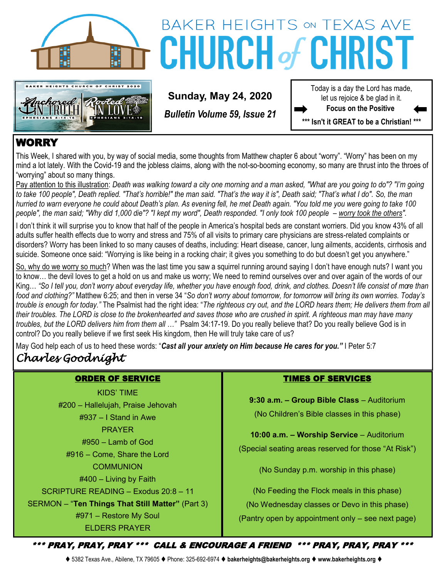



# BAKER HEIGHTS ON TEXAS AVE **CHURCH of CHRIS**

**Sunday, May 24, 2020**

*Bulletin Volume 59, Issue 21*

Today is a day the Lord has made, let us rejoice & be glad in it. **Focus on the Positive** 

**\*\*\* Isn't it GREAT to be a Christian! \*\*\***

# WORRY

This Week, I shared with you, by way of social media, some thoughts from Matthew chapter 6 about "worry". "Worry" has been on my mind a lot lately. With the Covid-19 and the jobless claims, along with the not-so-booming economy, so many are thrust into the throes of "worrying" about so many things.

Pay attention to this illustration: *Death was walking toward a city one morning and a man asked, "What are you going to do"? "I'm going to take 100 people", Death replied. "That's horrible!" the man said. "That's the way it is", Death said; "That's what I do". So, the man hurried to warn everyone he could about Death's plan. As evening fell, he met Death again. "You told me you were going to take 100*  people", the man said; "Why did 1,000 die"? "I kept my word", Death responded. "I only took 100 people – worry took the others".

I don't think it will surprise you to know that half of the people in America's hospital beds are constant worriers. Did you know 43% of all adults suffer health effects due to worry and stress and 75% of all visits to primary care physicians are stress-related complaints or disorders? Worry has been linked to so many causes of deaths, including: Heart disease, cancer, lung ailments, accidents, cirrhosis and suicide. Someone once said: "Worrying is like being in a rocking chair; it gives you something to do but doesn't get you anywhere."

So, why do we worry so much? When was the last time you saw a squirrel running around saying I don't have enough nuts? I want you to know… the devil loves to get a hold on us and make us worry; We need to remind ourselves over and over again of the words of our King… *"So I tell you, don't worry about everyday life, whether you have enough food, drink, and clothes. Doesn't life consist of more than food and clothing?"* Matthew 6:25; and then in verse 34 "*So don't worry about tomorrow, for tomorrow will bring its own worries. Today's trouble is enough for today."* The Psalmist had the right idea: "*The righteous cry out, and the LORD hears them; He delivers them from all their troubles. The LORD is close to the brokenhearted and saves those who are crushed in spirit. A righteous man may have many troubles, but the LORD delivers him from them all …"* Psalm 34:17-19. Do you really believe that? Do you really believe God is in control? Do you really believe if we first seek His kingdom, then He will truly take care of us?

May God help each of us to heed these words: "*Cast all your anxiety on Him because He cares for you."* I Peter 5:7 *Charles Goodnight* 

# ORDER OF SERVICE

KIDS' TIME #200 – Hallelujah, Praise Jehovah #937 – I Stand in Awe PRAYER #950 – Lamb of God #916 – Come, Share the Lord **COMMUNION** #400 – Living by Faith SCRIPTURE READING – Exodus 20:8 – 11 SERMON – "**Ten Things That Still Matter"** (Part 3) #971 – Restore My Soul

ELDERS PRAYER

# TIMES OF SERVICES

**9:30 a.m. – Group Bible Class** – Auditorium (No Children's Bible classes in this phase)

**10:00 a.m. – Worship Service** – Auditorium (Special seating areas reserved for those "At Risk")

(No Sunday p.m. worship in this phase)

(No Feeding the Flock meals in this phase) (No Wednesday classes or Devo in this phase) (Pantry open by appointment only – see next page)

\*\*\* PRAY, PRAY, PRAY \*\*\* CALL & ENCOURAGE A FRIEND \*\*\* PRAY, PRAY, PRAY \*\*\*

⧫ 5382 Texas Ave., Abilene, TX 79605 ⧫ Phone: 325-692-6974 ⧫ **bakerheights@bakerheights.org** ⧫ **www.bakerheights.org** ⧫